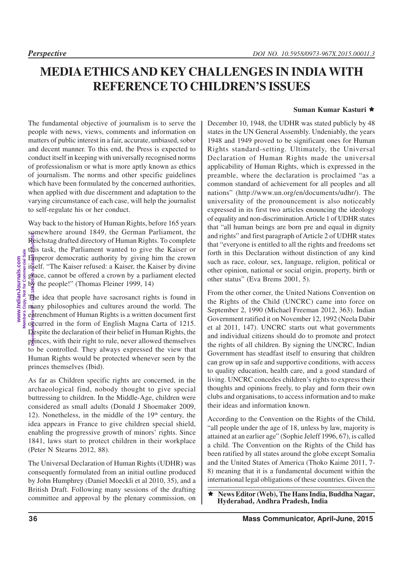# **MEDIA ETHICS AND KEY CHALLENGES IN INDIAWITH REFERENCE TO CHILDREN'S ISSUES**

#### **Suman Kumar Kasturi** ê

The fundamental objective of journalism is to serve the people with news, views, comments and information on matters of public interest in a fair, accurate, unbiased, sober and decent manner. To this end, the Press is expected to conduct itself in keeping with universally recognised norms of professionalism or what is more aptly known as ethics of journalism. The norms and other specific guidelines which have been formulated by the concerned authorities, when applied with due discernment and adaptation to the varying circumstance of each case, will help the journalist to self-regulate his or her conduct.

**Downloaded From IP - 122.180.2006 on dated 2-Jul-2015** Way back to the history of Human Rights, before 165 years somewhere around 1849, the German Parliament, the Reichstag drafted directory of Human Rights. To complete this task, the Parliament wanted to give the Kaiser or Emperor democratic authority by giving him the crown itself. "The Kaiser refused: a Kaiser, the Kaiser by divine grace, cannot be offered a crown by a parliament elected  $b\ddot{\tilde{y}}$  the people!" (Thomas Fleiner 1999, 14)

The idea that people have sacrosanct rights is found in many philosophies and cultures around the world. The enter enter controller and the Muman Rights is a written document first occurred in the form of English Magna Carta of 1215. Despite the declaration of their belief in Human Rights, the  $p\tilde{\xi}$ inces, with their right to rule, never allowed themselves to be controlled. They always expressed the view that Human Rights would be protected whenever seen by the princes themselves (Ibid).

As far as Children specific rights are concerned, in the archaeological find, nobody thought to give special buttressing to children. In the Middle-Age, children were considered as small adults (Donald J Shoemaker 2009, 12). Nonetheless, in the middle of the  $19<sup>th</sup>$  century, the idea appears in France to give children special shield, enabling the progressive growth of minors' rights. Since 1841, laws start to protect children in their workplace (Peter N Stearns 2012, 88).

The Universal Declaration of Human Rights (UDHR) was consequently formulated from an initial outline produced by John Humphrey (Daniel Moeckli et al 2010, 35), and a British Draft. Following many sessions of the drafting committee and approval by the plenary commission, on December 10, 1948, the UDHR was stated publicly by 48 states in the UN General Assembly. Undeniably, the years 1948 and 1949 proved to be significant ones for Human Rights standard-setting. Ultimately, the Universal Declaration of Human Rights made the universal applicability of Human Rights, which is expressed in the preamble, where the declaration is proclaimed "as a common standard of achievement for all peoples and all nations" (http://www.un.org/en/documents/udhr/). The universality of the pronouncement is also noticeably expressed in its first two articles enouncing the ideology of equality and non-discrimination. Article 1 of UDHR states that "all human beings are born pre and equal in dignity and rights" and first paragraph of Article 2 of UDHR states that "everyone is entitled to all the rights and freedoms set forth in this Declaration without distinction of any kind such as race, colour, sex, language, religion, political or other opinion, national or social origin, property, birth or other status" (Eva Brems 2001, 5).

From the other corner, the United Nations Convention on the Rights of the Child (UNCRC) came into force on September 2, 1990 (Michael Freeman 2012, 363). Indian Government ratified it on November 12, 1992 (Neela Dabir et al 2011, 147). UNCRC starts out what governments and individual citizens should do to promote and protect the rights of all children. By signing the UNCRC, Indian Government has steadfast itself to ensuring that children can grow up in safe and supportive conditions, with access to quality education, health care, and a good standard of living. UNCRC concedes children's rights to express their thoughts and opinions freely, to play and form their own clubs and organisations, to access information and to make their ideas and information known.

According to the Convention on the Rights of the Child, "all people under the age of 18, unless by law, majority is attained at an earlier age" (Sophie Jeleff 1996, 67), is called a child. The Convention on the Rights of the Child has been ratified by all states around the globe except Somalia and the United States of America (Thoko Kaime 2011, 7- 8) meaning that it is a fundamental document within the international legal obligations of these countries. Given the

ê **News Editor (Web), The Hans India, Buddha Nagar, Hyderabad, Andhra Pradesh, India**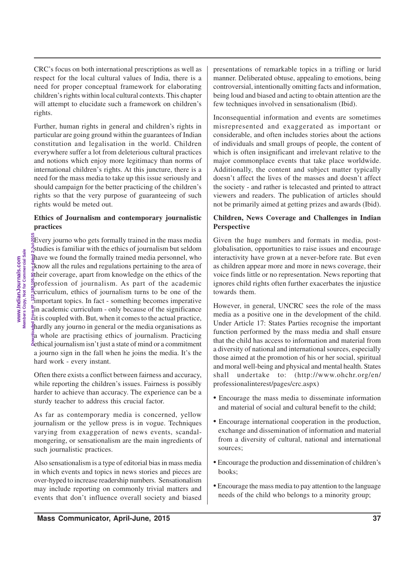CRC's focus on both international prescriptions as well as respect for the local cultural values of India, there is a need for proper conceptual framework for elaborating children's rights within local cultural contexts. This chapter will attempt to elucidate such a framework on children's rights.

Further, human rights in general and children's rights in particular are going ground within the guarantees of Indian constitution and legalisation in the world. Children everywhere suffer a lot from deleterious cultural practices and notions which enjoy more legitimacy than norms of international children's rights. At this juncture, there is a need for the mass media to take up this issue seriously and should campaign for the better practicing of the children's rights so that the very purpose of guaranteeing of such rights would be meted out.

#### **Ethics of Journalism and contemporary journalistic practices**

**Downloaded From IP - 122.180.105.90 on dated 2-Jul-2015 Every journo who gets formally trained in the mass media**  $\frac{1}{2}$ studies is familiar with the ethics of journalism but seldom have we found the formally trained media personnel, who  $\frac{a}{5}$ know all the rules and regulations pertaining to the area of  $\frac{a}{b}$ their coverage, apart from knowledge on the ethics of the profession of journalism. As part of the academic curriculum, ethics of journalism turns to be one of the  $\frac{\partial u}{\partial t}$  important topics. In fact - something becomes imperative  $\frac{1}{2}$ in academic curriculum - only because of the significance  $\frac{1}{2}$ it is coupled with. But, when it comes to the actual practice, hardly any journo in general or the media organisations as  $\frac{2}{5}a$  whole are practising ethics of journalism. Practicing  $\frac{5}{2}$ ethical journalism isn't just a state of mind or a commitment a journo sign in the fall when he joins the media. It's the hard work - every instant.

Often there exists a conflict between fairness and accuracy, while reporting the children's issues. Fairness is possibly harder to achieve than accuracy. The experience can be a sturdy teacher to address this crucial factor.

As far as contemporary media is concerned, yellow journalism or the yellow press is in vogue. Techniques varying from exaggeration of news events, scandalmongering, or sensationalism are the main ingredients of such journalistic practices.

Also sensationalism is a type of editorial bias in mass media in which events and topics in news stories and pieces are over-hyped to increase readership numbers. Sensationalism may include reporting on commonly trivial matters and events that don't influence overall society and biased presentations of remarkable topics in a trifling or lurid manner. Deliberated obtuse, appealing to emotions, being controversial, intentionally omitting facts and information, being loud and biased and acting to obtain attention are the few techniques involved in sensationalism (Ibid).

Inconsequential information and events are sometimes misrepresented and exaggerated as important or considerable, and often includes stories about the actions of individuals and small groups of people, the content of which is often insignificant and irrelevant relative to the major commonplace events that take place worldwide. Additionally, the content and subject matter typically doesn't affect the lives of the masses and doesn't affect the society - and rather is telecasted and printed to attract viewers and readers. The publication of articles should not be primarily aimed at getting prizes and awards (Ibid).

## **Children, News Coverage and Challenges in Indian Perspective**

Given the huge numbers and formats in media, postglobalisation, opportunities to raise issues and encourage interactivity have grown at a never-before rate. But even as children appear more and more in news coverage, their voice finds little or no representation. News reporting that ignores child rights often further exacerbates the injustice towards them.

However, in general, UNCRC sees the role of the mass media as a positive one in the development of the child. Under Article 17: States Parties recognise the important function performed by the mass media and shall ensure that the child has access to information and material from a diversity of national and international sources, especially those aimed at the promotion of his or her social, spiritual and moral well-being and physical and mental health. States shall undertake to: (http://www.ohchr.org/en/ professionalinterest/pages/crc.aspx)

- Encourage the mass media to disseminate information and material of social and cultural benefit to the child;
- Encourage international cooperation in the production, exchange and dissemination of information and material from a diversity of cultural, national and international sources;
- Encourage the production and dissemination of children's books;
- Encourage the mass media to pay attention to the language needs of the child who belongs to a minority group;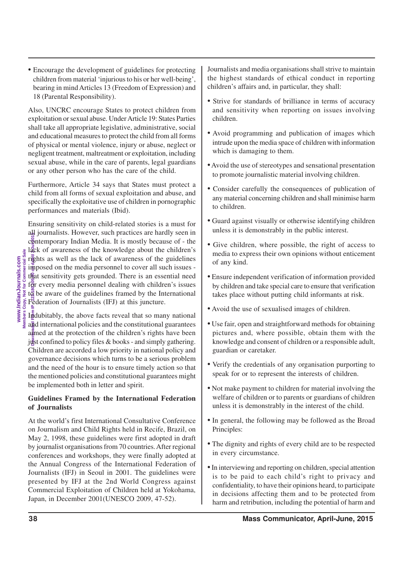• Encourage the development of guidelines for protecting children from material 'injurious to his or her well-being', bearing in mind Articles 13 (Freedom of Expression) and 18 (Parental Responsibility).

Also, UNCRC encourage States to protect children from exploitation or sexual abuse. Under Article 19: States Parties shall take all appropriate legislative, administrative, social and educational measures to protect the child from all forms of physical or mental violence, injury or abuse, neglect or negligent treatment, maltreatment or exploitation, including sexual abuse, while in the care of parents, legal guardians or any other person who has the care of the child.

Furthermore, Article 34 says that States must protect a child from all forms of sexual exploitation and abuse, and specifically the exploitative use of children in pornographic performances and materials (Ibid).

Downloaded From IP G122.1800.0550 or depa 第1150015 Ensuring sensitivity on child-related stories is a must for all journalists. However, such practices are hardly seen in contemporary Indian Media. It is mostly because of - the  $\frac{9}{8}$ lack of awareness of the knowledge about the children's rights as well as the lack of awareness of the guidelines imposed on the media personnel to cover all such issues that sensitivity gets grounded. There is an essential need for every media personnel dealing with children's issues to be aware of the guidelines framed by the International Federation of Journalists (IFJ) at this juncture.

Indubitably, the above facts reveal that so many national and international policies and the constitutional guarantees agned at the protection of the children's rights have been just confined to policy files & books - and simply gathering. Children are accorded a low priority in national policy and governance decisions which turns to be a serious problem and the need of the hour is to ensure timely action so that the mentioned policies and constitutional guarantees might be implemented both in letter and spirit.

## **Guidelines Framed by the International Federation of Journalists**

At the world's first International Consultative Conference on Journalism and Child Rights held in Recife, Brazil, on May 2, 1998, these guidelines were first adopted in draft by journalist organisations from 70 countries. After regional conferences and workshops, they were finally adopted at the Annual Congress of the International Federation of Journalists (IFJ) in Seoul in 2001. The guidelines were presented by IFJ at the 2nd World Congress against Commercial Exploitation of Children held at Yokohama, Japan, in December 2001(UNESCO 2009, 47-52).

Journalists and media organisations shall strive to maintain the highest standards of ethical conduct in reporting children's affairs and, in particular, they shall:

- Strive for standards of brilliance in terms of accuracy and sensitivity when reporting on issues involving children.
- Avoid programming and publication of images which intrude upon the media space of children with information which is damaging to them.
- Avoid the use of stereotypes and sensational presentation to promote journalistic material involving children.
- Consider carefully the consequences of publication of any material concerning children and shall minimise harm to children.
- Guard against visually or otherwise identifying children unless it is demonstrably in the public interest.
- Give children, where possible, the right of access to media to express their own opinions without enticement of any kind.
- Ensure independent verification of information provided by children and take special care to ensure that verification takes place without putting child informants at risk.
- Avoid the use of sexualised images of children.
- Use fair, open and straightforward methods for obtaining pictures and, where possible, obtain them with the knowledge and consent of children or a responsible adult, guardian or caretaker.
- Verify the credentials of any organisation purporting to speak for or to represent the interests of children.
- Not make payment to children for material involving the welfare of children or to parents or guardians of children unless it is demonstrably in the interest of the child.
- In general, the following may be followed as the Broad Principles:
- The dignity and rights of every child are to be respected in every circumstance.
- In interviewing and reporting on children, special attention is to be paid to each child's right to privacy and confidentiality, to have their opinions heard, to participate in decisions affecting them and to be protected from harm and retribution, including the potential of harm and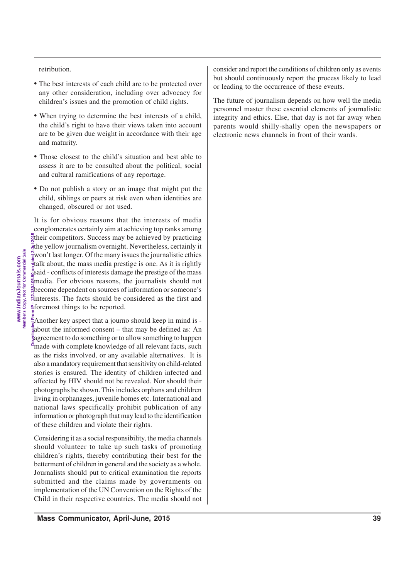retribution.

- The best interests of each child are to be protected over any other consideration, including over advocacy for children's issues and the promotion of child rights.
- When trying to determine the best interests of a child, the child's right to have their views taken into account are to be given due weight in accordance with their age and maturity.
- Those closest to the child's situation and best able to assess it are to be consulted about the political, social and cultural ramifications of any reportage.
- Do not publish a story or an image that might put the child, siblings or peers at risk even when identities are changed, obscured or not used.

**Downloaded From IP - 122.180.105.90 on dated 2-Jul-2015** It is for obvious reasons that the interests of media conglomerates certainly aim at achieving top ranks among their competitors. Success may be achieved by practicing  $\frac{1}{2}$ the yellow journalism overnight. Nevertheless, certainly it  $\frac{8}{8}$ won't last longer. Of the many issues the journalistic ethics  $\frac{3}{2}$ talk about, the mass media prestige is one. As it is rightly  $\frac{5}{8}$ said - conflicts of interests damage the prestige of the mass ginedia. For obvious reasons, the journalists should not  $\frac{a}{b}$ become dependent on sources of information or someone's  $\frac{\delta t}{\delta t}$  interests. The facts should be considered as the first and  $\triangle$ foremost things to be reported.

 $\frac{2}{5}$ Another key aspect that a journo should keep in mind is - $\frac{a}{2}$ about the informed consent – that may be defined as: An  $\overline{\xi}$ agreement to do something or to allow something to happen  $\frac{5}{3}$  made with complete knowledge of all relevant facts, such as the risks involved, or any available alternatives. It is also a mandatory requirement that sensitivity on child-related stories is ensured. The identity of children infected and affected by HIV should not be revealed. Nor should their photographs be shown. This includes orphans and children living in orphanages, juvenile homes etc. International and national laws specifically prohibit publication of any information or photograph that may lead to the identification of these children and violate their rights.

Considering it as a social responsibility, the media channels should volunteer to take up such tasks of promoting children's rights, thereby contributing their best for the betterment of children in general and the society as a whole. Journalists should put to critical examination the reports submitted and the claims made by governments on implementation of the UN Convention on the Rights of the Child in their respective countries. The media should not

consider and report the conditions of children only as events but should continuously report the process likely to lead or leading to the occurrence of these events.

The future of journalism depends on how well the media personnel master these essential elements of journalistic integrity and ethics. Else, that day is not far away when parents would shilly-shally open the newspapers or electronic news channels in front of their wards.